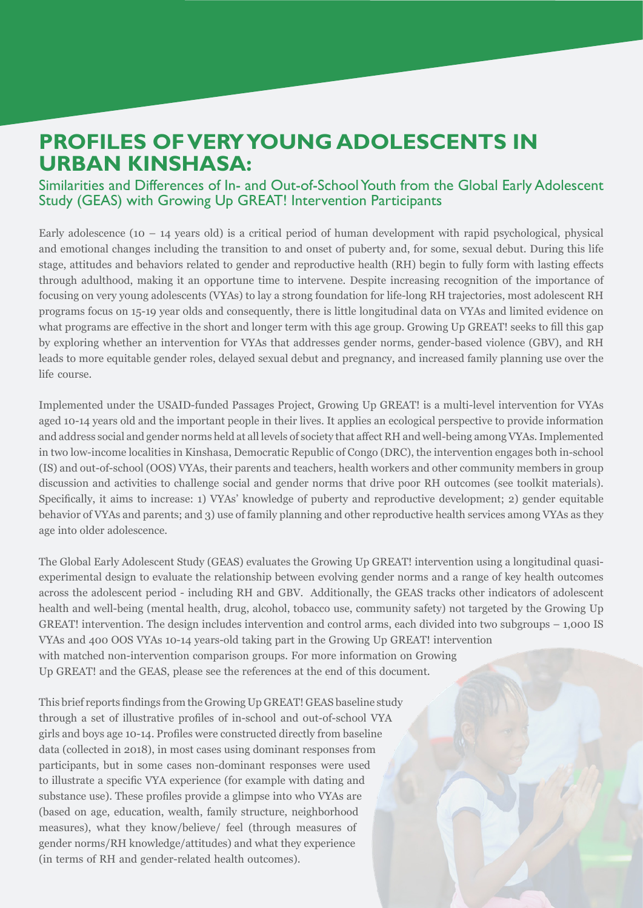# **PROFILES OF VERY YOUNG ADOLESCENTS IN URBAN KINSHASA:**

### Similarities and Differences of In- and Out-of-School Youth from the Global Early Adolescent Study (GEAS) with Growing Up GREAT! Intervention Participants

Early adolescence (10 – 14 years old) is a critical period of human development with rapid psychological, physical and emotional changes including the transition to and onset of puberty and, for some, sexual debut. During this life stage, attitudes and behaviors related to gender and reproductive health (RH) begin to fully form with lasting effects through adulthood, making it an opportune time to intervene. Despite increasing recognition of the importance of focusing on very young adolescents (VYAs) to lay a strong foundation for life-long RH trajectories, most adolescent RH programs focus on 15-19 year olds and consequently, there is little longitudinal data on VYAs and limited evidence on what programs are effective in the short and longer term with this age group. Growing Up GREAT! seeks to fill this gap by exploring whether an intervention for VYAs that addresses gender norms, gender-based violence (GBV), and RH leads to more equitable gender roles, delayed sexual debut and pregnancy, and increased family planning use over the life course.

Implemented under the USAID-funded Passages Project, Growing Up GREAT! is a multi-level intervention for VYAs aged 10-14 years old and the important people in their lives. It applies an ecological perspective to provide information and address social and gender norms held at all levels of society that affect RH and well-being among VYAs. Implemented in two low-income localities in Kinshasa, Democratic Republic of Congo (DRC), the intervention engages both in-school (IS) and out-of-school (OOS) VYAs, their parents and teachers, health workers and other community members in group discussion and activities to challenge social and gender norms that drive poor RH outcomes (see toolkit materials). Specifically, it aims to increase: 1) VYAs' knowledge of puberty and reproductive development; 2) gender equitable the behavior of VYAs and parents; and 3) use of family planning and other reproductive health services among VYAs as they age into older adolescence.

experimental design to evaluate the relationship between evolving gender norms and a range of key health outcomes The Global Early Adolescent Study (GEAS) evaluates the Growing Up GREAT! intervention using a longitudinal quasiacross the adolescent period - including RH and GBV. Additionally, the GEAS tracks other indicators of adolescent health and well-being (mental health, drug, alcohol, tobacco use, community safety) not targeted by the Growing Up GREAT! intervention. The design includes intervention and control arms, each divided into two subgroups  $-1,000$  IS VYAs and 400 OOS VYAs 10-14 years-old taking part in the Growing Up GREAT! intervention with matched non-intervention comparison groups. For more information on Growing Up GREAT! and the GEAS, please see the references at the end of this document.

This brief reports findings from the Growing Up GREAT! GEAS baseline study through a set of illustrative profiles of in-school and out-of-school VYA girls and boys age 10-14. Profiles were constructed directly from baseline data (collected in 2018), in most cases using dominant responses from participants, but in some cases non-dominant responses were used to illustrate a specific VYA experience (for example with dating and substance use). These profiles provide a glimpse into who VYAs are (based on age, education, wealth, family structure, neighborhood measures), what they know/believe/ feel (through measures of gender norms/RH knowledge/attitudes) and what they experience (in terms of RH and gender-related health outcomes).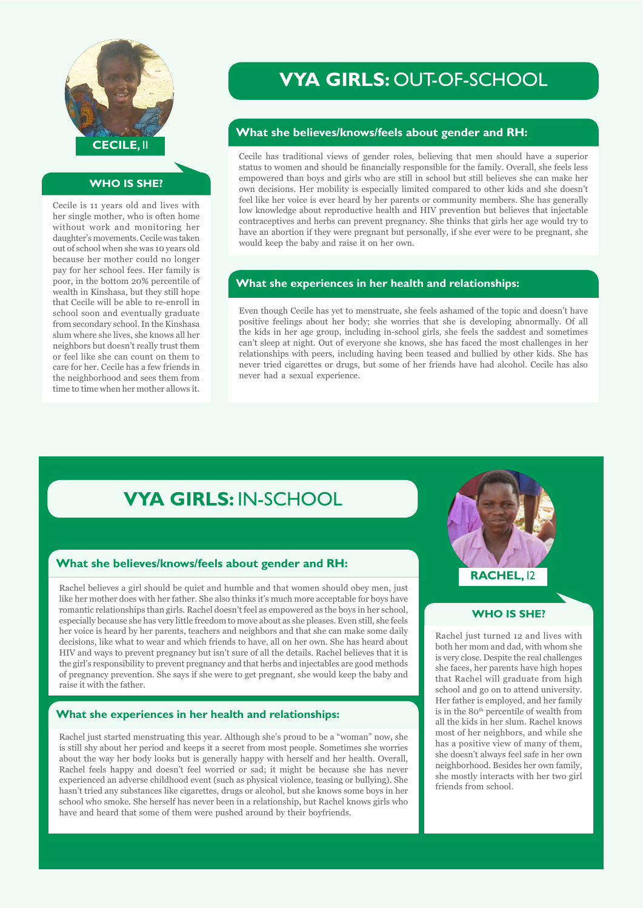

#### **WHO IS SHE?**

Cecile is 11 years old and lives with her single mother, who is often home without work and monitoring her daughter's movements. Cecile was taken out of school when she was 10 years old because her mother could no longer pay for her school fees. Her family is poor, in the bottom 20% percentile of wealth in Kinshasa, but they still hope that Cecile will be able to re-enroll in school soon and eventually graduate from secondary school. In the Kinshasa slum where she lives, she knows all her neighbors but doesn't really trust them or feel like she can count on them to care for her. Cecile has a few friends in the neighborhood and sees them from time to time when her mother allows it.

## **VYA GIRLS: OUT-OF-SCHOOL**

#### **What she believes/knows/feels about gender and RH:**

Cecile has traditional views of gender roles, believing that men should have a superior status to women and should be financially responsible for the family. Overall, she feels less empowered than boys and girls who are still in school but still believes she can make her own decisions. Her mobility is especially limited compared to other kids and she doesn't feel like her voice is ever heard by her parents or community members. She has generally low knowledge about reproductive health and HIV prevention but believes that injectable contraceptives and herbs can prevent pregnancy. She thinks that girls her age would try to have an abortion if they were pregnant but personally, if she ever were to be pregnant, she would keep the baby and raise it on her own.

#### **What she experiences in her health and relationships:**

Even though Cecile has yet to menstruate, she feels ashamed of the topic and doesn't have positive feelings about her body; she worries that she is developing abnormally. Of all the kids in her age group, including in-school girls, she feels the saddest and sometimes can't sleep at night. Out of everyone she knows, she has faced the most challenges in her relationships with peers, including having been teased and bullied by other kids. She has never tried cigarettes or drugs, but some of her friends have had alcohol. Cecile has also never had a sexual experience.

# **VYA GIRLS: IN-SCHOOL**

#### **What she believes/knows/feels about gender and RH:**

Rachel believes a girl should be quiet and humble and that women should obey men, just like her mother does with her father. She also thinks it's much more acceptable for boys have romantic relationships than girls. Rachel doesn't feel as empowered as the boys in her school, especially because she has very little freedom to move about as she pleases. Even still, she feels her voice is heard by her parents, teachers and neighbors and that she can make some daily decisions, like what to wear and which friends to have, all on her own. She has heard about HIV and ways to prevent pregnancy but isn't sure of all the details. Rachel believes that it is the girl's responsibility to prevent pregnancy and that herbs and injectables are good methods of pregnancy prevention. She says if she were to get pregnant, she would keep the baby and raise it with the father.

#### **What she experiences in her health and relationships:**

Rachel just started menstruating this year. Although she's proud to be a "woman" now, she is still shy about her period and keeps it a secret from most people. Sometimes she worries about the way her body looks but is generally happy with herself and her health. Overall, Rachel feels happy and doesn't feel worried or sad; it might be because she has never experienced an adverse childhood event (such as physical violence, teasing or bullying). She hasn't tried any substances like cigarettes, drugs or alcohol, but she knows some boys in her school who smoke. She herself has never been in a relationship, but Rachel knows girls who have and heard that some of them were pushed around by their boyfriends.



#### **WHO IS SHE?**

Rachel just turned 12 and lives with both her mom and dad, with whom she is very close. Despite the real challenges she faces, her parents have high hopes that Rachel will graduate from high school and go on to attend university. Her father is employed, and her family is in the 80<sup>th</sup> percentile of wealth from all the kids in her slum. Rachel knows most of her neighbors, and while she has a positive view of many of them, she doesn't always feel safe in her own neighborhood. Besides her own family, she mostly interacts with her two girl friends from school.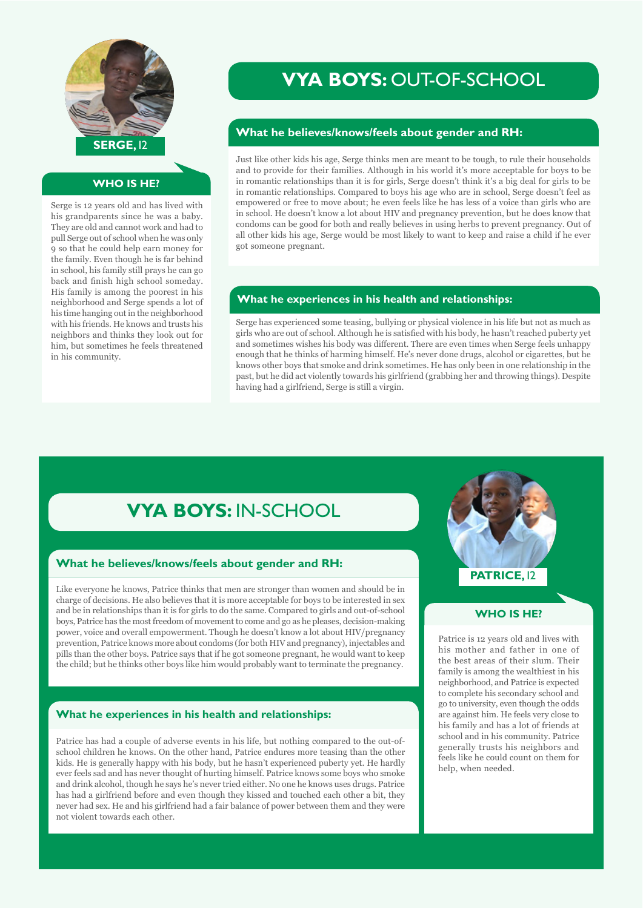

#### **WHO IS HE?**

Serge is 12 years old and has lived with his grandparents since he was a baby. They are old and cannot work and had to pull Serge out of school when he was only 9 so that he could help earn money for the family. Even though he is far behind in school, his family still prays he can go back and finish high school someday. His family is among the poorest in his neighborhood and Serge spends a lot of his time hanging out in the neighborhood with his friends. He knows and trusts his neighbors and thinks they look out for him, but sometimes he feels threatened in his community.

# **VYA BOYS: OUT-OF-SCHOOL**

#### **What he believes/knows/feels about gender and RH:**

Just like other kids his age, Serge thinks men are meant to be tough, to rule their households and to provide for their families. Although in his world it's more acceptable for boys to be in romantic relationships than it is for girls, Serge doesn't think it's a big deal for girls to be in romantic relationships. Compared to boys his age who are in school, Serge doesn't feel as empowered or free to move about; he even feels like he has less of a voice than girls who are in school. He doesn't know a lot about HIV and pregnancy prevention, but he does know that condoms can be good for both and really believes in using herbs to prevent pregnancy. Out of all other kids his age, Serge would be most likely to want to keep and raise a child if he ever got someone pregnant.

#### **What he experiences in his health and relationships:**

Serge has experienced some teasing, bullying or physical violence in his life but not as much as girls who are out of school. Although he is satisfied with his body, he hasn't reached puberty yet and sometimes wishes his body was different. There are even times when Serge feels unhappy enough that he thinks of harming himself. He's never done drugs, alcohol or cigarettes, but he knows other boys that smoke and drink sometimes. He has only been in one relationship in the past, but he did act violently towards his girlfriend (grabbing her and throwing things). Despite having had a girlfriend. Serge is still a virgin.

# **VYA BOYS: IN-SCHOOL**

#### **What he believes/knows/feels about gender and RH:**

Like everyone he knows, Patrice thinks that men are stronger than women and should be in charge of decisions. He also believes that it is more acceptable for boys to be interested in sex and be in relationships than it is for girls to do the same. Compared to girls and out-of-school boys. Patrice has the most freedom of movement to come and go as he pleases, decision-making power, voice and overall empowerment. Though he doesn't know a lot about HIV/pregnancy prevention, Patrice knows more about condoms (for both HIV and pregnancy), injectables and pills than the other boys. Patrice says that if he got someone pregnant, he would want to keep the child; but he thinks other boys like him would probably want to terminate the pregnancy.

#### **What he experiences in his health and relationships:**

school children he knows. On the other hand, Patrice endures more teasing than the other Patrice has had a couple of adverse events in his life, but nothing compared to the out-ofkids. He is generally happy with his body, but he hasn't experienced puberty yet. He hardly ever feels sad and has never thought of hurting himself. Patrice knows some boys who smoke and drink alcohol, though he says he's never tried either. No one he knows uses drugs. Patrice has had a girlfriend before and even though they kissed and touched each other a bit, they never had sex. He and his girlfriend had a fair balance of power between them and they were not violent towards each other.

# **PATRICE, 12**

#### **WHO IS HE?**

Patrice is 12 years old and lives with his mother and father in one of the best areas of their slum. Their family is among the wealthiest in his neighborhood, and Patrice is expected to complete his secondary school and go to university, even though the odds are against him. He feels very close to his family and has a lot of friends at school and in his community. Patrice generally trusts his neighbors and feels like he could count on them for help, when needed.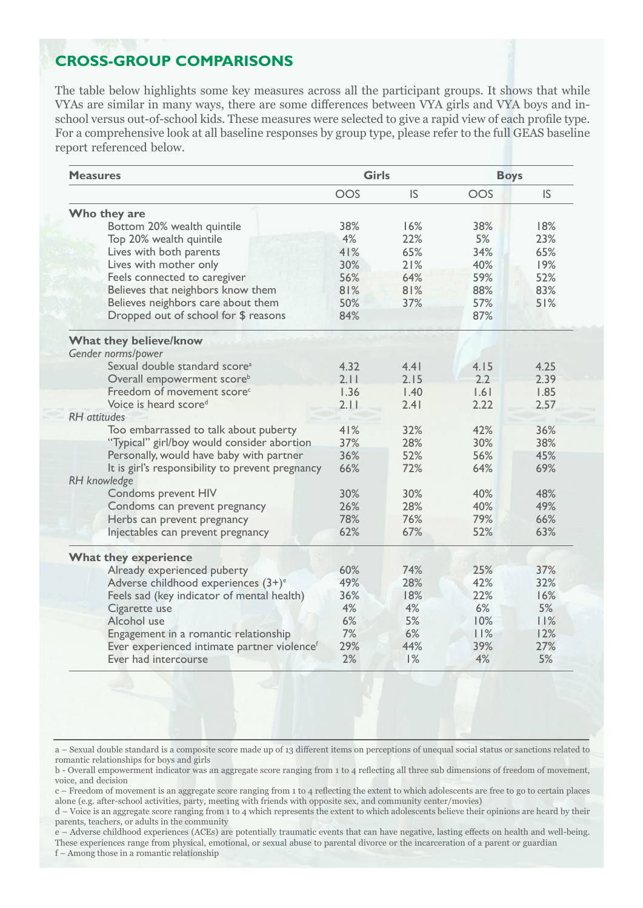## **CROSS-GROUP COMPARISONS**

The table below highlights some key measures across all the participant groups. It shows that while school versus out-of-school kids. These measures were selected to give a rapid view of each profile type. VYAs are similar in many ways, there are some differences between VYA girls and VYA boys and in-For a comprehensive look at all baseline responses by group type, please refer to the full GEAS baseline report referenced below.

| <b>Measures</b>                                  | <b>Girls</b> |           | <b>Boys</b> |      |
|--------------------------------------------------|--------------|-----------|-------------|------|
|                                                  | OOS          | <b>IS</b> | OOS         | IS   |
| Who they are                                     |              |           |             |      |
| Bottom 20% wealth quintile                       | 38%          | 16%       | 38%         | 18%  |
| Top 20% wealth quintile                          | 4%           | 22%       | 5%          | 23%  |
| Lives with both parents                          | 41%          | 65%       | 34%         | 65%  |
| Lives with mother only                           | 30%          | 21%       | 40%         | 19%  |
| Feels connected to caregiver                     | 56%          | 64%       | 59%         | 52%  |
| Believes that neighbors know them                | 81%          | 81%       | 88%         | 83%  |
| Believes neighbors care about them               | 50%          | 37%       | 57%         | 51%  |
| Dropped out of school for \$ reasons             | 84%          |           | 87%         |      |
| What they believe/know                           |              |           |             |      |
| Gender norms/power                               |              |           |             |      |
| Sexual double standard score <sup>a</sup>        | 4.32         | 4.41      | 4.15        | 4.25 |
| Overall empowerment score <sup>b</sup>           | 2.11         | 2.15      | 2.2         | 2.39 |
| Freedom of movement score <sup>c</sup>           | 1.36         | 1.40      | 1.61        | 1.85 |
| Voice is heard scored                            | 2.11         | 2.41      | 2.22        | 2.57 |
| <b>RH</b> attitudes                              |              |           |             |      |
| Too embarrassed to talk about puberty            | 41%          | 32%       | 42%         | 36%  |
| "Typical" girl/boy would consider abortion       | 37%          | 28%       | 30%         | 38%  |
| Personally, would have baby with partner         | 36%          | 52%       | 56%         | 45%  |
| It is girl's responsibility to prevent pregnancy | 66%          | 72%       | 64%         | 69%  |
| RH knowledge                                     |              |           |             |      |
| Condoms prevent HIV                              | 30%          | 30%       | 40%         | 48%  |
| Condoms can prevent pregnancy                    | 26%          | 28%       | 40%         | 49%  |
| Herbs can prevent pregnancy                      | 78%          | 76%       | 79%         | 66%  |
| Injectables can prevent pregnancy                | 62%          | 67%       | 52%         | 63%  |
| <b>What they experience</b>                      |              |           |             |      |
| Already experienced puberty                      | 60%          | 74%       | 25%         | 37%  |
| Adverse childhood experiences (3+) <sup>e</sup>  | 49%          | 28%       | 42%         | 32%  |
| Feels sad (key indicator of mental health)       | 36%          | 18%       | 22%         | 16%  |
| Cigarette use                                    | 4%           | 4%        | 6%          | 5%   |
| Alcohol use                                      | 6%           | 5%        | 10%         | 11%  |
| Engagement in a romantic relationship            | 7%           | 6%        | 11%         | 12%  |
| Ever experienced intimate partner violencef      | 29%          | 44%       | 39%         | 27%  |
| Ever had intercourse                             | 2%           | 1%        | 4%          | 5%   |

a - Sexual double standard is a composite score made up of 13 different items on perceptions of unequal social status or sanctions related to romantic relationships for boys and girls

b - Overall empowerment indicator was an aggregate score ranging from 1 to 4 reflecting all three sub dimensions of freedom of movement, voice, and decision

c – Freedom of movement is an aggregate score ranging from 1 to 4 reflecting the extent to which adolescents are free to go to certain places alone (e.g. after-school activities, party, meeting with friends with opposite sex, and community center/movies)

d – Voice is an aggregate score ranging from 1 to 4 which represents the extent to which adolescents believe their opinions are heard by their parents, teachers, or adults in the community

 $e$  – Adverse childhood experiences (ACEs) are potentially traumatic events that can have negative, lasting effects on health and well-being. These experiences range from physical, emotional, or sexual abuse to parental divorce or the incarceration of a parent or guardian f – Among those in a romantic relationship